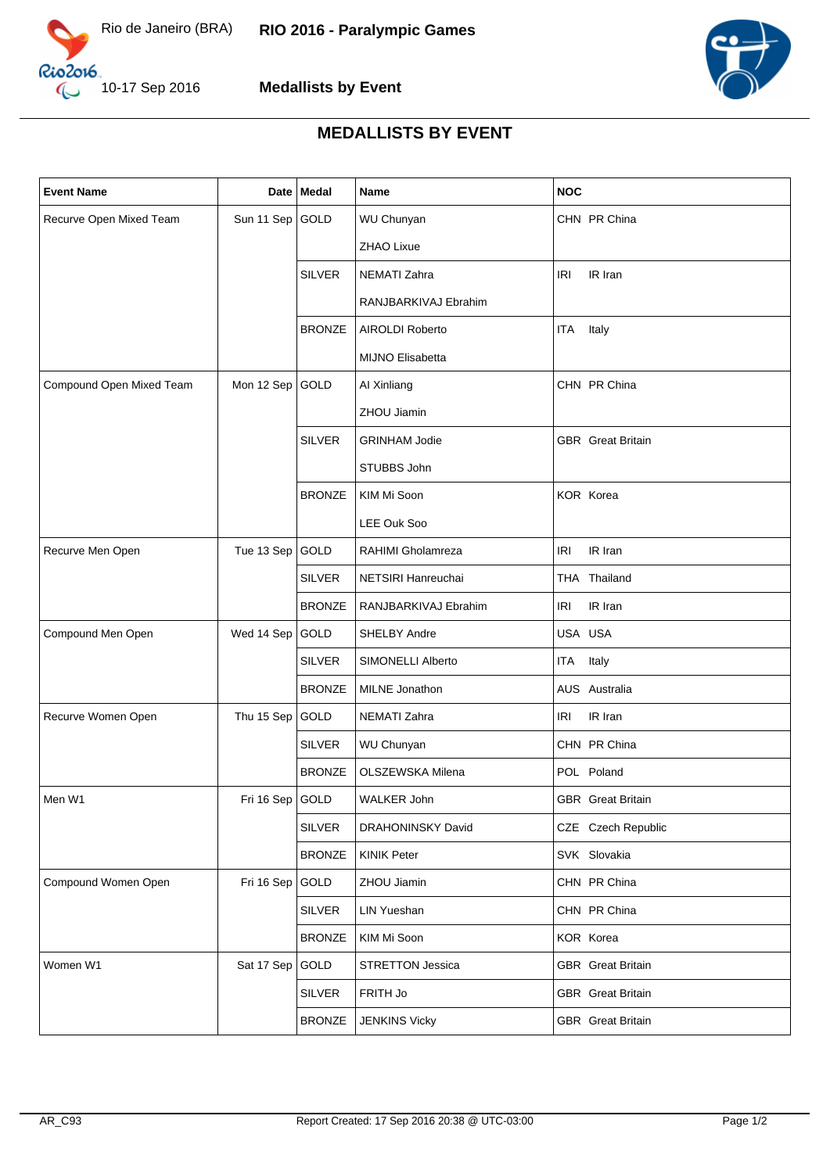



**Medallists by Event**

## **MEDALLISTS BY EVENT**

| <b>Event Name</b>        | Date              | Medal         | Name                     | <b>NOC</b>               |
|--------------------------|-------------------|---------------|--------------------------|--------------------------|
| Recurve Open Mixed Team  | Sun 11 Sep        | GOLD          | <b>WU Chunyan</b>        | CHN PR China             |
|                          |                   |               | <b>ZHAO Lixue</b>        |                          |
|                          |                   | <b>SILVER</b> | NEMATI Zahra             | <b>IRI</b><br>IR Iran    |
|                          |                   |               | RANJBARKIVAJ Ebrahim     |                          |
|                          |                   | <b>BRONZE</b> | <b>AIROLDI Roberto</b>   | Italy<br>ITA             |
|                          |                   |               | <b>MIJNO Elisabetta</b>  |                          |
| Compound Open Mixed Team | Mon 12 Sep        | GOLD          | Al Xinliang              | CHN PR China             |
|                          |                   |               | ZHOU Jiamin              |                          |
|                          |                   | <b>SILVER</b> | <b>GRINHAM Jodie</b>     | <b>GBR</b> Great Britain |
|                          |                   |               | STUBBS John              |                          |
|                          |                   | <b>BRONZE</b> | KIM Mi Soon              | KOR Korea                |
|                          |                   |               | LEE Ouk Soo              |                          |
| Recurve Men Open         | Tue 13 Sep        | GOLD          | RAHIMI Gholamreza        | IR Iran<br><b>IRI</b>    |
|                          |                   | <b>SILVER</b> | NETSIRI Hanreuchai       | THA Thailand             |
|                          |                   | <b>BRONZE</b> | RANJBARKIVAJ Ebrahim     | IR Iran<br>IRI           |
| Compound Men Open        | Wed 14 Sep        | GOLD          | SHELBY Andre             | USA USA                  |
|                          |                   | <b>SILVER</b> | SIMONELLI Alberto        | ITA Italy                |
|                          |                   | <b>BRONZE</b> | MILNE Jonathon           | AUS Australia            |
| Recurve Women Open       | Thu 15 Sep        | GOLD          | <b>NEMATI Zahra</b>      | IR Iran<br>IRI           |
|                          |                   | <b>SILVER</b> | WU Chunyan               | CHN PR China             |
|                          |                   | <b>BRONZE</b> | OLSZEWSKA Milena         | POL Poland               |
| Men W1                   | Fri 16 Sep   GOLD |               | WALKER John              | <b>GBR</b> Great Britain |
|                          |                   | <b>SILVER</b> | <b>DRAHONINSKY David</b> | CZE Czech Republic       |
|                          |                   | <b>BRONZE</b> | <b>KINIK Peter</b>       | SVK Slovakia             |
| Compound Women Open      | Fri 16 Sep        | GOLD          | ZHOU Jiamin              | CHN PR China             |
|                          |                   | <b>SILVER</b> | <b>LIN Yueshan</b>       | CHN PR China             |
|                          |                   | <b>BRONZE</b> | KIM Mi Soon              | KOR Korea                |
| Women W1                 | Sat 17 Sep        | GOLD          | <b>STRETTON Jessica</b>  | <b>GBR</b> Great Britain |
|                          |                   | SILVER        | FRITH Jo                 | <b>GBR</b> Great Britain |
|                          |                   | <b>BRONZE</b> | <b>JENKINS Vicky</b>     | <b>GBR</b> Great Britain |